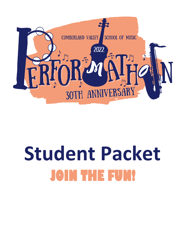

# **Student Packet JOIN THE FUN!**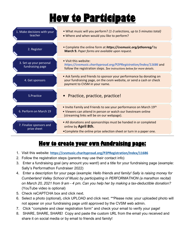## **How to Participate**



#### **How to create your own fundraising page:**

- 1. Visit this website: **<https://cvsmusic.charityproud.org/P2PRegistration/Index/11686>**
- 2. Follow the registration steps (parents may use their contact info)
- 3. Enter a fundraising goal (any amount you want!) and a title for your fundraising page (example: Sally's Performathon Fundraiser 2022)
- 4. Enter a description for your page (example: *Hello friends and family! Sally is raising money for Cumberland Valley School of Music by participating in PERFORMATHON (a marathon recital) on March 20, 2021 from 9 am - 4 pm. Can you help her by making a tax-deductible donation?* (YouTube video is optional)
- 5. Check reCAPTCHA box and click next.
- 6. Select a photo (optional), click UPLOAD and click next. \*\*Please note: your uploaded photo will not appear on your fundraising page until approved by the CVSM web admin.
- 7. Click "complete and clear registration form" and check your email to verify your page!
- 8. SHARE, SHARE, SHARE! Copy and paste the custom URL from the email you received and share it on social media or by email to friends and family!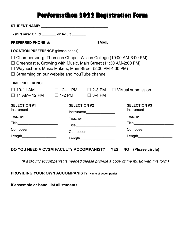### **Performathon 2022 Registration Form**

| T-shirt size: Child _______ or Adult _______                                                                                                                                                    |                     |                                                                                                                                                                                                                                       |                                                                        |  |
|-------------------------------------------------------------------------------------------------------------------------------------------------------------------------------------------------|---------------------|---------------------------------------------------------------------------------------------------------------------------------------------------------------------------------------------------------------------------------------|------------------------------------------------------------------------|--|
|                                                                                                                                                                                                 |                     |                                                                                                                                                                                                                                       |                                                                        |  |
| <b>LOCATION PREFERENCE (please check)</b>                                                                                                                                                       |                     |                                                                                                                                                                                                                                       |                                                                        |  |
| $\Box$ Greencastle, Growing with Music, Main Street (11:30 AM-2:00 PM)<br>$\Box$ Waynesboro, Music Makers, Main Street (2:00 PM-4:00 PM)<br>$\Box$ Streaming on our website and YouTube channel |                     |                                                                                                                                                                                                                                       | $\Box$ Chambersburg, Thomson Chapel, Wilson College (10:00 AM-3:00 PM) |  |
| <b>TIME PREFERENCE</b>                                                                                                                                                                          |                     |                                                                                                                                                                                                                                       |                                                                        |  |
| $\Box$ 10-11 AM<br>$\Box$ 11 AM- 12 PM $\Box$ 1-2 PM $\Box$ 3-4 PM                                                                                                                              |                     |                                                                                                                                                                                                                                       | $\Box$ 12– 1 PM $\Box$ 2-3 PM $\Box$ Virtual submission                |  |
| <b>SELECTION #1</b><br>Instrument_________________                                                                                                                                              | <b>SELECTION #2</b> | Instrument <b>ierte and the control of the control of the control of the control of the control of the control of the control of the control of the control of the control of the control of the control of the control of the co</b> | <b>SELECTION #3</b>                                                    |  |
| Teacher___________________                                                                                                                                                                      |                     | Teacher___________________                                                                                                                                                                                                            | Teacher__________________                                              |  |
| Title_________________________                                                                                                                                                                  |                     | Title_________________________                                                                                                                                                                                                        | Title_________________________                                         |  |
| Composer________________                                                                                                                                                                        |                     | Composer_______________                                                                                                                                                                                                               | Composer_________________                                              |  |
| Length_____________________                                                                                                                                                                     |                     | Length_____________________                                                                                                                                                                                                           | Length_____________________                                            |  |
|                                                                                                                                                                                                 |                     |                                                                                                                                                                                                                                       |                                                                        |  |

#### **DO YOU NEED A CVSM FACULTY ACCOMPANIST? YES NO (Please circle)**

*(If a faculty accompanist is needed please provide a copy of the music with this form)*

**PROVIDING YOUR OWN ACCOMPANIST? Name of accompanist\_\_\_\_\_\_\_\_\_\_\_\_\_\_\_\_\_\_\_\_\_\_\_\_\_\_\_\_\_\_\_\_\_\_**

**If ensemble or band, list all students:**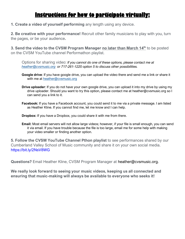#### **Instructions for how to participate virtually:**

**1. Create a video of yourself performing** any length using any device.

**2. Be creative with your performance!** Recruit other family musicians to play with you, turn the pages, or be your audience**.**

**3. Send the video to the CVSM Program Manager no later than March 14<sup>th</sup> to be posted** on the CVSM YouTube channel Performathon playlist.

Options for sharing video: *If you cannot do one of these options, please contact me at [heather@cvsmusic.org](mailto:heather@cvsmusic.org) or 717-261-1220 option 5 to discuss other possibilities.*

- **Google drive**: If you have google drive, you can upload the video there and send me a link or share it with me at [heather@cvsmusic.org](mailto:heather@cvsmusic.org)
- **Drive uploader**: If you do not have your own google drive, you can upload it into my drive by using my drive uploader. Should you want to try this option, please contact me at heather@cvsmusic.org so I can send you a link to it.
- **Facebook:** If you have a Facebook account, you could send it to me via a private message. I am listed as Heather Kline. If you cannot find me, let me know and I can help.

**Dropbox:** If you have a Dropbox, you could share it with me from there.

**Email:** Most email servers will not allow large videos; however, if your file is small enough, you can send it via email. If you have trouble because the file is too large, email me for some help with making your video smaller or finding another option.

**5. Follow the CVSM YouTube Channel Pthon playlist** to see performances shared by our Cumberland Valley School of Music community and share it on your own social media. https://bit.ly/2NsV8WG

**Questions?** Email Heather Kline, CVSM Program Manager at heather@cvsmusic.org.

**We really look forward to seeing your music videos, keeping us all connected and ensuring that music-making will always be available to everyone who seeks it!**